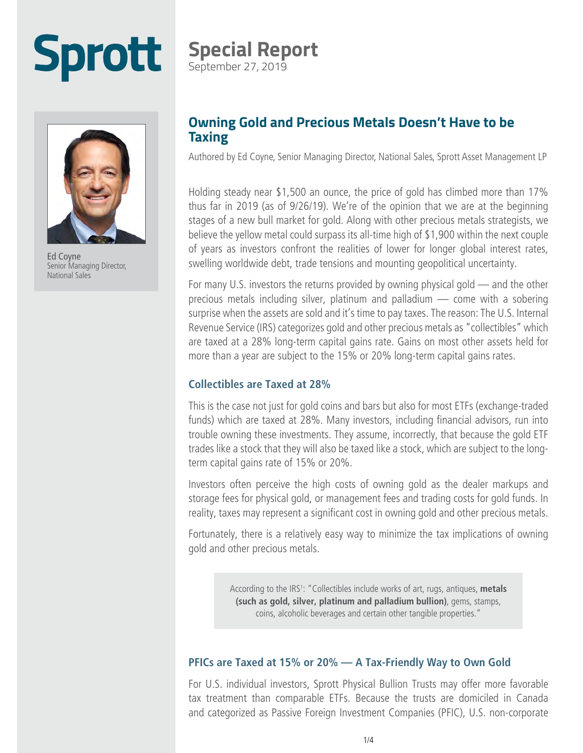# **Sprott**



Ed Coyne Senior Managing Director, National Sales

## **Special Report**

September 27, 2019

#### **Owning Gold and Precious Metals Doesn't Have to be Taxing**

Authored by Ed Coyne, Senior Managing Director, National Sales, Sprott Asset Management LP

Holding steady near \$1,500 an ounce, the price of gold has climbed more than 17% thus far in 2019 (as of 9/26/19). We're of the opinion that we are at the beginning stages of a new bull market for gold. Along with other precious metals strategists, we believe the yellow metal could surpass its all-time high of \$1,900 within the next couple of years as investors confront the realities of lower for longer global interest rates, swelling worldwide debt, trade tensions and mounting geopolitical uncertainty.

For many U.S. investors the returns provided by owning physical gold — and the other precious metals including silver, platinum and palladium — come with a sobering surprise when the assets are sold and it's time to pay taxes. The reason: The U.S. Internal Revenue Service (IRS) categorizes gold and other precious metals as "collectibles" which are taxed at a 28% long-term capital gains rate. Gains on most other assets held for more than a year are subject to the 15% or 20% long-term capital gains rates.

#### **Collectibles are Taxed at 28%**

This is the case not just for gold coins and bars but also for most ETFs (exchange-traded funds) which are taxed at 28%. Many investors, including financial advisors, run into trouble owning these investments. They assume, incorrectly, that because the gold ETF trades like a stock that they will also be taxed like a stock, which are subject to the longterm capital gains rate of 15% or 20%.

Investors often perceive the high costs of owning gold as the dealer markups and storage fees for physical gold, or management fees and trading costs for gold funds. In reality, taxes may represent a significant cost in owning gold and other precious metals.

Fortunately, there is a relatively easy way to minimize the tax implications of owning gold and other precious metals.

> According to the IRS<sup>1</sup>: "Collectibles include works of art, rugs, antiques, metals **(such as gold, silver, platinum and palladium bullion)**, gems, stamps, coins, alcoholic beverages and certain other tangible properties."

#### **PFICs are Taxed at 15% or 20% — A Tax-Friendly Way to Own Gold**

For U.S. individual investors, Sprott Physical Bullion Trusts may offer more favorable tax treatment than comparable ETFs. Because the trusts are domiciled in Canada and categorized as Passive Foreign Investment Companies (PFIC), U.S. non-corporate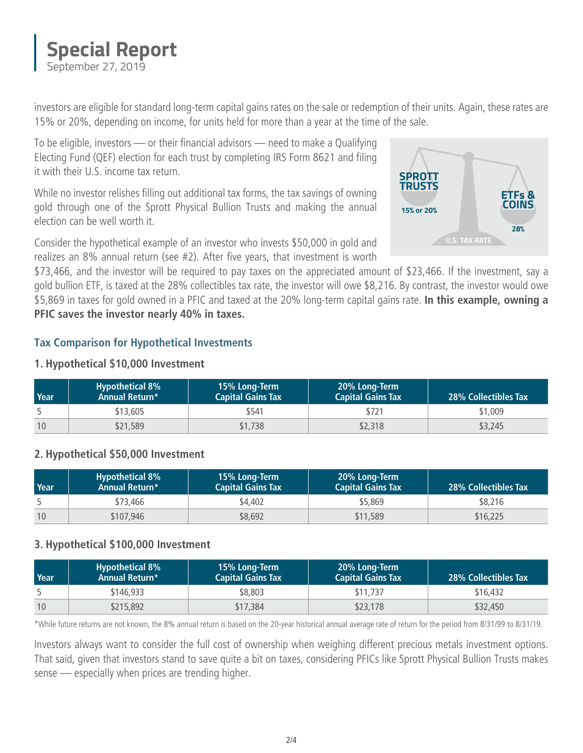

investors are eligible for standard long-term capital gains rates on the sale or redemption of their units. Again, these rates are 15% or 20%, depending on income, for units held for more than a year at the time of the sale.

To be eligible, investors — or their financial advisors — need to make a Qualifying Electing Fund (QEF) election for each trust by completing [IRS Form 8621](https://www.irs.gov/forms-pubs/about-form-8621) and filing it with their U.S. income tax return.

While no investor relishes filling out additional tax forms, the tax savings of owning gold through one of the Sprott Physical Bullion Trusts and making the annual election can be well worth it.

Consider the hypothetical example of an investor who invests \$50,000 in gold and realizes an 8% annual return (see #2). After five years, that investment is worth

\$73,466, and the investor will be required to pay taxes on the appreciated amount of \$23,466. If the investment, say a gold bullion ETF, is taxed at the 28% collectibles tax rate, the investor will owe \$8,216. By contrast, the investor would owe \$5,869 in taxes for gold owned in a PFIC and taxed at the 20% long-term capital gains rate. **In this example, owning a PFIC saves the investor nearly 40% in taxes.**

#### **Tax Comparison for Hypothetical Investments**

#### **1. Hypothetical \$10,000 Investment**

| Year | <b>Hypothetical 8%</b><br><b>Annual Return*</b> | 15% Long-Term<br><b>Capital Gains Tax</b> | 20% Long-Term<br><b>Capital Gains Tax</b> | <b>28% Collectibles Tax</b> |
|------|-------------------------------------------------|-------------------------------------------|-------------------------------------------|-----------------------------|
|      | \$13,605                                        | \$541                                     | \$721                                     | \$1,009                     |
| 10   | \$21,589                                        | \$1,738                                   | \$2,318                                   | \$3,245                     |

#### **2. Hypothetical \$50,000 Investment**

| Year | <b>Hypothetical 8%</b><br><b>Annual Return*</b> | 15% Long-Term<br><b>Capital Gains Tax</b> | 20% Long-Term<br><b>Capital Gains Tax</b> | <b>28% Collectibles Tax</b> |
|------|-------------------------------------------------|-------------------------------------------|-------------------------------------------|-----------------------------|
|      | \$73,466                                        | \$4.402                                   | \$5,869                                   | \$8,216                     |
| 10   | \$107,946                                       | \$8,692                                   | \$11,589                                  | \$16,225                    |

#### **3. Hypothetical \$100,000 Investment**

| Year | <b>Hypothetical 8%</b><br><b>Annual Return*</b> | 15% Long-Term<br><b>Capital Gains Tax</b> | 20% Long-Term<br><b>Capital Gains Tax</b> | <b>28% Collectibles Tax</b> |
|------|-------------------------------------------------|-------------------------------------------|-------------------------------------------|-----------------------------|
|      | \$146,933                                       | \$8,803                                   | \$11,737                                  | \$16,432                    |
| 10   | \$215,892                                       | \$17,384                                  | \$23,178                                  | \$32,450                    |

\*While future returns are not known, the 8% annual return is based on the 20-year historical annual average rate of return for the period from 8/31/99 to 8/31/19.

Investors always want to consider the full cost of ownership when weighing different precious metals investment options. That said, given that investors stand to save quite a bit on taxes, considering PFICs like Sprott Physical Bullion Trusts makes sense — especially when prices are trending higher.

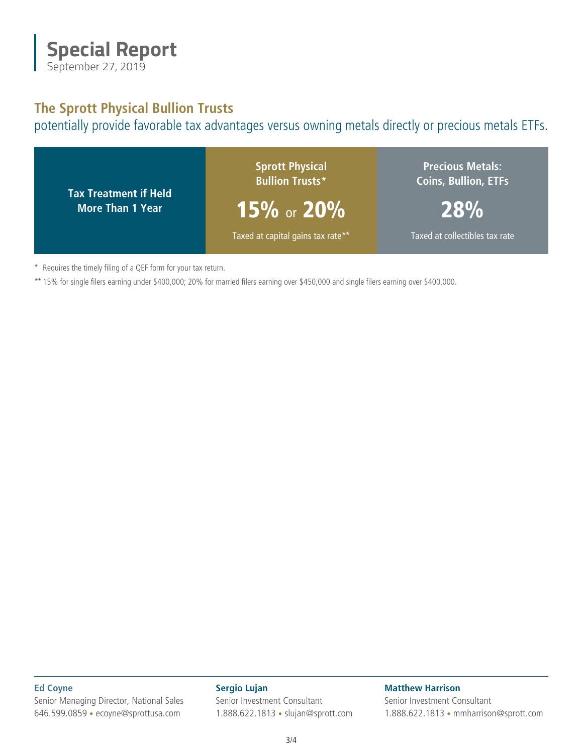

#### **The Sprott Physical Bullion Trusts**

potentially provide favorable tax advantages versus owning metals directly or precious metals ETFs.



\* Requires the timely filing of a QEF form for your tax return.

\*\* 15% for single filers earning under \$400,000; 20% for married filers earning over \$450,000 and single filers earning over \$400,000.

**Ed Coyne** Senior Managing Director, National Sales 646.599.0859 • [ecoyne@sprottusa.com](mailto:ecoyne@sprottusa.com)

**Sergio Lujan** Senior Investment Consultant 1.888.622.1813 • [slujan@sprott.com](mailto:slujan@sprott.com) **Matthew Harrison** Senior Investment Consultant 1.888.622.1813 • [mmharrison@sprott.com](mailto:mmharrison@sprott.com)